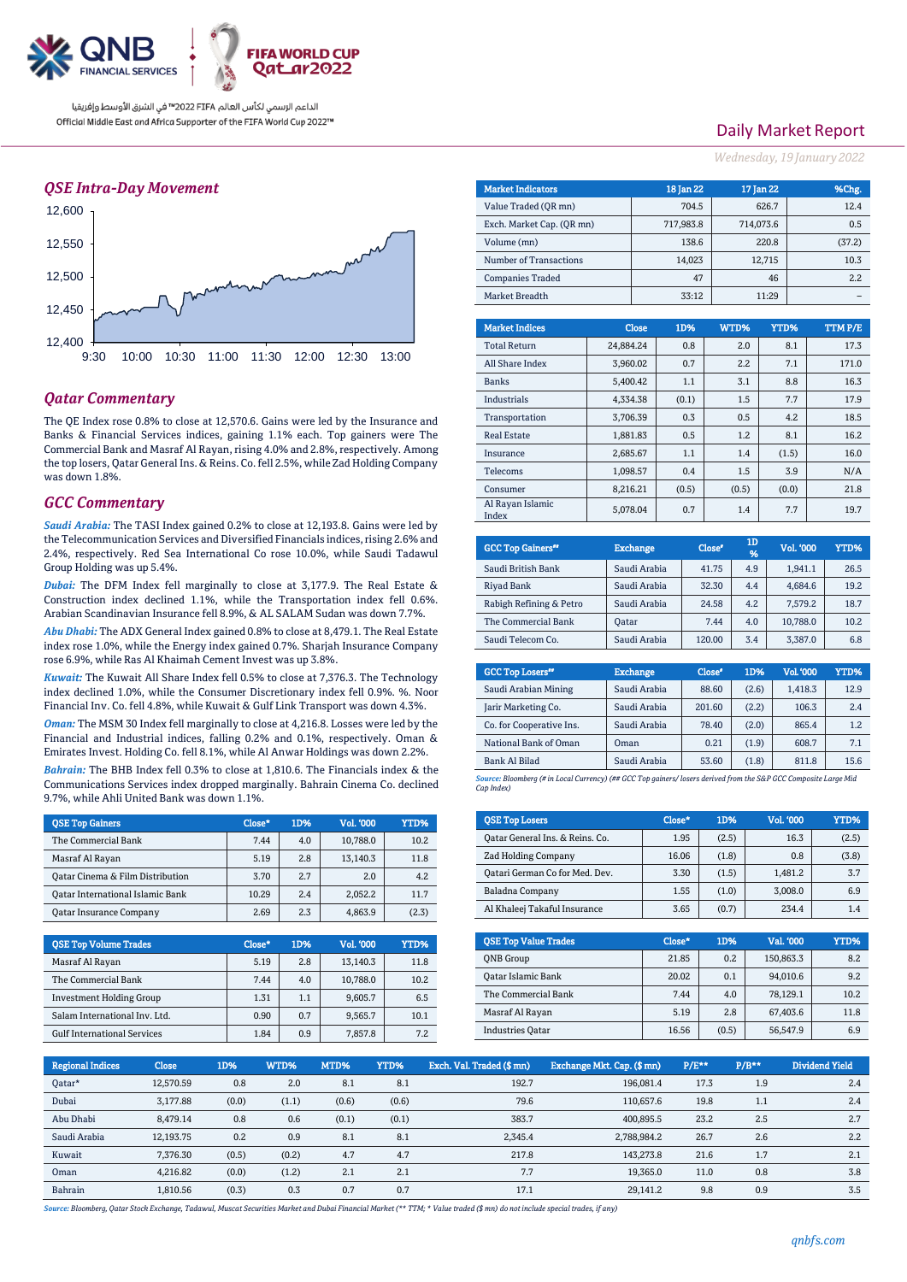

## *QSE Intra-Day Movement*



## *Qatar Commentary*

The QE Index rose 0.8% to close at 12,570.6. Gains were led by the Insurance and Banks & Financial Services indices, gaining 1.1% each. Top gainers were The Commercial Bank and Masraf Al Rayan, rising 4.0% and 2.8%, respectively. Among the top losers, Qatar General Ins. & Reins. Co. fell 2.5%, while Zad Holding Company was down 1.8%.

#### *GCC Commentary*

*Saudi Arabia:* The TASI Index gained 0.2% to close at 12,193.8. Gains were led by the Telecommunication Services and Diversified Financials indices, rising 2.6% and 2.4%, respectively. Red Sea International Co rose 10.0%, while Saudi Tadawul Group Holding was up 5.4%.

*Dubai:* The DFM Index fell marginally to close at 3,177.9. The Real Estate & Construction index declined 1.1%, while the Transportation index fell 0.6%. Arabian Scandinavian Insurance fell 8.9%, & AL SALAM Sudan was down 7.7%.

*Abu Dhabi:* The ADX General Index gained 0.8% to close at 8,479.1. The Real Estate index rose 1.0%, while the Energy index gained 0.7%. Sharjah Insurance Company rose 6.9%, while Ras Al Khaimah Cement Invest was up 3.8%.

*Kuwait:* The Kuwait All Share Index fell 0.5% to close at 7,376.3. The Technology index declined 1.0%, while the Consumer Discretionary index fell 0.9%. %. Noor Financial Inv. Co. fell 4.8%, while Kuwait & Gulf Link Transport was down 4.3%.

*Oman:* The MSM 30 Index fell marginally to close at 4,216.8. Losses were led by the Financial and Industrial indices, falling 0.2% and 0.1%, respectively. Oman & Emirates Invest. Holding Co. fell 8.1%, while Al Anwar Holdings was down 2.2%.

*Bahrain:* The BHB Index fell 0.3% to close at 1,810.6. The Financials index & the Communications Services index dropped marginally. Bahrain Cinema Co. declined 9.7%, while Ahli United Bank was down 1.1%.

| <b>OSE Top Gainers</b>           | Close* | 1D% | Vol. '000 | YTD%  |
|----------------------------------|--------|-----|-----------|-------|
| The Commercial Bank              | 7.44   | 4.0 | 10,788.0  | 10.2  |
| Masraf Al Rayan                  | 5.19   | 2.8 | 13.140.3  | 11.8  |
| Oatar Cinema & Film Distribution | 3.70   | 2.7 | 2.0       | 4.2   |
| Oatar International Islamic Bank | 10.29  | 2.4 | 2.052.2   | 11.7  |
| <b>Qatar Insurance Company</b>   | 2.69   | 2.3 | 4.863.9   | (2.3) |

| <b>OSE Top Volume Trades</b>       | Close* | 1D% | Vol. '000 | YTD% |
|------------------------------------|--------|-----|-----------|------|
| Masraf Al Rayan                    | 5.19   | 2.8 | 13,140.3  | 11.8 |
| The Commercial Bank                | 7.44   | 4.0 | 10,788.0  | 10.2 |
| <b>Investment Holding Group</b>    | 1.31   | 1.1 | 9,605.7   | 6.5  |
| Salam International Inv. Ltd.      | 0.90   | 0.7 | 9.565.7   | 10.1 |
| <b>Gulf International Services</b> | 1.84   | 0.9 | 7.857.8   | 7.2  |

# Daily Market Report

*Wednesday, 19 January2022*

| <b>Market Indicators</b>  |           |              | 18 Jan 22 |       | 17 Jan 22 |     | %Chg.   |  |
|---------------------------|-----------|--------------|-----------|-------|-----------|-----|---------|--|
| Value Traded (OR mn)      |           |              | 704.5     |       | 626.7     |     | 12.4    |  |
| Exch. Market Cap. (QR mn) |           |              | 717,983.8 |       | 714,073.6 |     | 0.5     |  |
| Volume (mn)               |           |              | 138.6     |       | 220.8     |     | (37.2)  |  |
| Number of Transactions    |           |              | 14,023    |       | 12,715    |     | 10.3    |  |
| <b>Companies Traded</b>   |           |              | 47        |       | 46        |     | 2.2     |  |
| Market Breadth            |           |              | 33:12     |       | 11:29     |     |         |  |
|                           |           |              |           |       |           |     |         |  |
| <b>Market Indices</b>     |           | <b>Close</b> | 1D%       | WTD%  | YTD%      |     | TTM P/E |  |
| <b>Total Return</b>       | 24.884.24 |              | 0.8       | 2.0   |           | 8.1 | 17.3    |  |
| All Share Index           |           | 3.960.02     | 0.7       | 2.2   |           | 7.1 | 171.0   |  |
| <b>Banks</b>              |           | 5,400.42     | 1.1       | 3.1   |           | 8.8 | 16.3    |  |
| <b>Industrials</b>        |           | 4,334.38     | (0.1)     | 1.5   |           | 7.7 | 17.9    |  |
| Transportation            |           | 3,706.39     | 0.3       | 0.5   |           | 4.2 | 18.5    |  |
| <b>Real Estate</b>        |           | 1.881.83     | 0.5       | 1.2   |           | 8.1 | 16.2    |  |
| Insurance                 |           | 2.685.67     | 1.1       | 1.4   | (1.5)     |     | 16.0    |  |
| Telecoms                  |           | 1,098.57     | 0.4       | 1.5   |           | 3.9 | N/A     |  |
| Consumer                  |           | 8,216.21     | (0.5)     | (0.5) | (0.0)     |     | 21.8    |  |
| Al Rayan Islamic<br>Index |           | 5.078.04     | 0.7       | 1.4   |           | 7.7 | 19.7    |  |

| <b>GCC Top Gainers</b> " | <b>Exchange</b> | Close <sup>®</sup> | 1D<br>1% | <b>Vol. '000'</b> | YTD% |
|--------------------------|-----------------|--------------------|----------|-------------------|------|
| Saudi British Bank       | Saudi Arabia    | 41.75              | 4.9      | 1.941.1           | 26.5 |
| Riyad Bank               | Saudi Arabia    | 32.30              | 4.4      | 4.684.6           | 19.2 |
| Rabigh Refining & Petro  | Saudi Arabia    | 24.58              | 4.2      | 7.579.2           | 18.7 |
| The Commercial Bank      | <b>Oatar</b>    | 7.44               | 4.0      | 10.788.0          | 10.2 |
| Saudi Telecom Co.        | Saudi Arabia    | 120.00             | 3.4      | 3.387.0           | 6.8  |

| <b>Exchange</b> | Close <sup>®</sup> | 1D%   | <b>Vol.'000</b> | YTD% |
|-----------------|--------------------|-------|-----------------|------|
| Saudi Arabia    | 88.60              | (2.6) | 1.418.3         | 12.9 |
| Saudi Arabia    | 201.60             | (2.2) | 106.3           | 2.4  |
| Saudi Arabia    | 78.40              | (2.0) | 865.4           | 1.2  |
| Oman            | 0.21               | (1.9) | 608.7           | 7.1  |
| Saudi Arabia    | 53.60              | (1.8) | 811.8           | 15.6 |
|                 |                    |       |                 |      |

*Source: Bloomberg (# in Local Currency) (## GCC Top gainers/ losers derived from the S&P GCC Composite Large Mid Cap Index)*

| <b>QSE Top Losers</b>           | Close* | 1D%   | <b>Vol. '000</b> | YTD%  |
|---------------------------------|--------|-------|------------------|-------|
| Qatar General Ins. & Reins. Co. | 1.95   | (2.5) | 16.3             | (2.5) |
| Zad Holding Company             | 16.06  | (1.8) | 0.8              | (3.8) |
| Qatari German Co for Med. Dev.  | 3.30   | (1.5) | 1.481.2          | 3.7   |
| Baladna Company                 | 1.55   | (1.0) | 3.008.0          | 6.9   |
| Al Khaleei Takaful Insurance    | 3.65   | (0.7) | 234.4            | 1.4   |

| <b>OSE Top Value Trades</b> | Close* | 1D%   | Val. '000 | YTD% |
|-----------------------------|--------|-------|-----------|------|
| <b>ONB</b> Group            | 21.85  | 0.2   | 150.863.3 | 8.2  |
| Oatar Islamic Bank          | 20.02  | 0.1   | 94.010.6  | 9.2  |
| The Commercial Bank         | 7.44   | 4.0   | 78.129.1  | 10.2 |
| Masraf Al Rayan             | 5.19   | 2.8   | 67.403.6  | 11.8 |
| <b>Industries Oatar</b>     | 16.56  | (0.5) | 56.547.9  | 6.9  |

| <b>Regional Indices</b> | <b>Close</b> | 1D%   | WTD%  | MTD%  | YTD%  | Exch. Val. Traded (\$ mn) | Exchange Mkt. Cap. (\$mn) | $P/E**$ | $P/B**$ | Dividend Yield |
|-------------------------|--------------|-------|-------|-------|-------|---------------------------|---------------------------|---------|---------|----------------|
| Oatar*                  | 12.570.59    | 0.8   | 2.0   | 8.1   | 8.1   | 192.7                     | 196.081.4                 | 17.3    | 1.9     | 2.4            |
| Dubai                   | 3.177.88     | (0.0) | (1.1) | (0.6) | (0.6) | 79.6                      | 110.657.6                 | 19.8    | 1.1     | 2.4            |
| Abu Dhabi               | 8.479.14     | 0.8   | 0.6   | (0.1) | (0.1) | 383.7                     | 400.895.5                 | 23.2    | 2.5     | 2.7            |
| Saudi Arabia            | 12,193.75    | 0.2   | 0.9   | 8.1   | 8.1   | 2,345.4                   | 2,788,984.2               | 26.7    | 2.6     | 2.2            |
| Kuwait                  | 7,376.30     | (0.5) | (0.2) | 4.7   | 4.7   | 217.8                     | 143.273.8                 | 21.6    | 1.7     | 2.1            |
| Oman                    | 4.216.82     | (0.0) | (1.2) | 2.1   | 2.1   | 7.7                       | 19.365.0                  | 11.0    | 0.8     | 3.8            |
| Bahrain                 | 1.810.56     | (0.3) | 0.3   | 0.7   | 0.7   | 17.1                      | 29.141.2                  | 9.8     | 0.9     | 3.5            |

*Source: Bloomberg, Qatar Stock Exchange, Tadawul, Muscat Securities Market and Dubai Financial Market (\*\* TTM; \* Value traded (\$ mn) do not include special trades, if any)*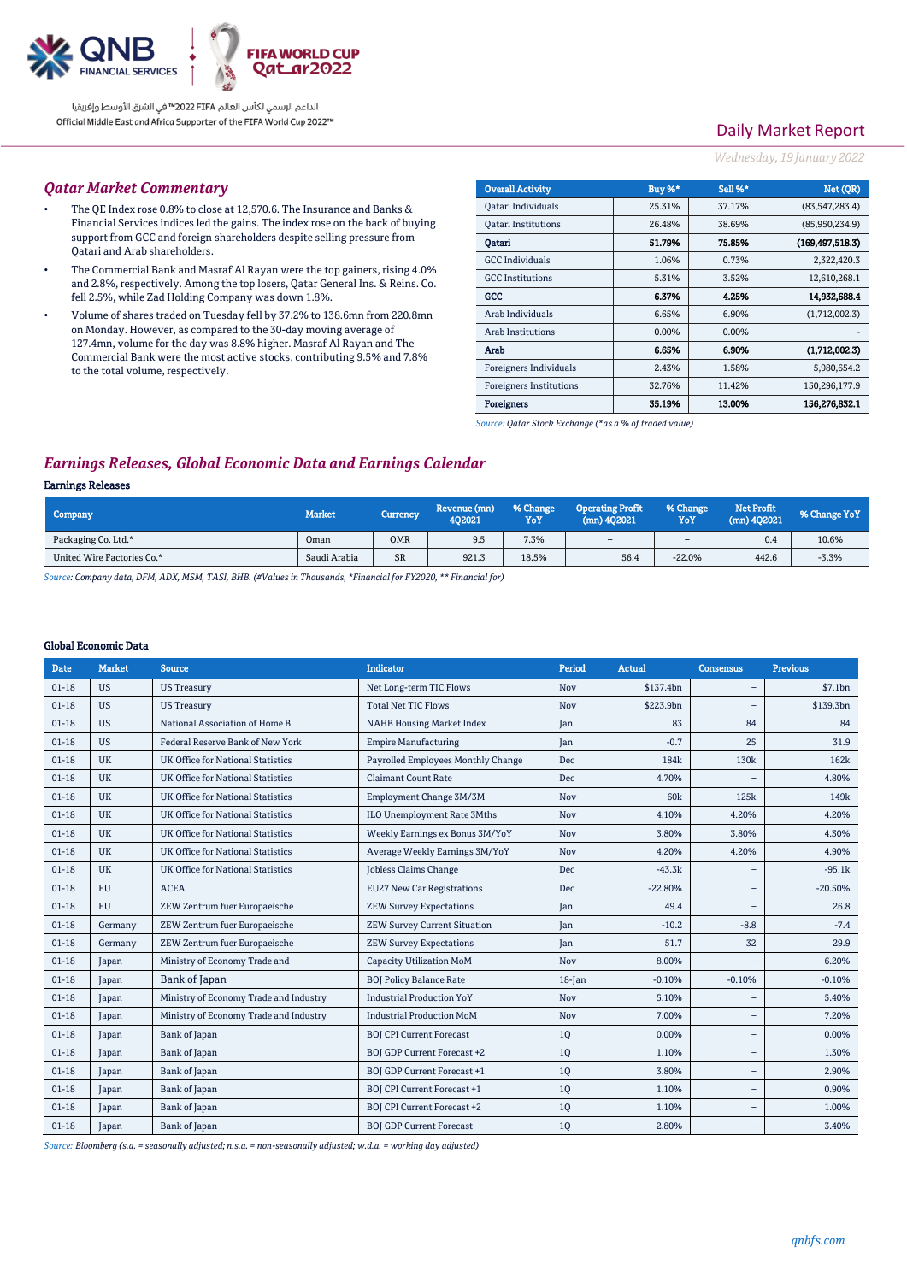

# Daily Market Report

#### *Wednesday, 19 January2022*

#### *Qatar Market Commentary*

- The QE Index rose 0.8% to close at 12,570.6. The Insurance and Banks & Financial Services indices led the gains. The index rose on the back of buying support from GCC and foreign shareholders despite selling pressure from Qatari and Arab shareholders.
- The Commercial Bank and Masraf Al Rayan were the top gainers, rising 4.0% and 2.8%, respectively. Among the top losers, Qatar General Ins. & Reins. Co. fell 2.5%, while Zad Holding Company was down 1.8%.
- Volume of shares traded on Tuesday fell by 37.2% to 138.6mn from 220.8mn on Monday. However, as compared to the 30-day moving average of 127.4mn, volume for the day was 8.8% higher. Masraf Al Rayan and The Commercial Bank were the most active stocks, contributing 9.5% and 7.8% to the total volume, respectively.

| <b>Overall Activity</b>        | Buy %* | Sell %* | Net (OR)          |
|--------------------------------|--------|---------|-------------------|
| Qatari Individuals             | 25.31% | 37.17%  | (83, 547, 283.4)  |
| <b>Oatari Institutions</b>     | 26.48% | 38.69%  | (85,950,234.9)    |
| Oatari                         | 51.79% | 75.85%  | (169, 497, 518.3) |
| <b>GCC</b> Individuals         | 1.06%  | 0.73%   | 2,322,420.3       |
| <b>GCC</b> Institutions        | 5.31%  | 3.52%   | 12,610,268.1      |
| GCC                            | 6.37%  | 4.25%   | 14.932,688.4      |
| Arab Individuals               | 6.65%  | 6.90%   | (1,712,002.3)     |
| Arab Institutions              | 0.00%  | 0.00%   |                   |
| Arab                           | 6.65%  | 6.90%   | (1,712,002.3)     |
| Foreigners Individuals         | 2.43%  | 1.58%   | 5,980,654.2       |
| <b>Foreigners Institutions</b> | 32.76% | 11.42%  | 150,296,177.9     |
| <b>Foreigners</b>              | 35.19% | 13.00%  | 156,276,832.1     |

*Source: Qatar Stock Exchange (\*as a % of traded value)*

## *Earnings Releases, Global Economic Data and Earnings Calendar*

#### Earnings Releases

| Company                    | <b>Market</b> | <b>Currency</b> | Revenue (mn)<br>402021 | % Change<br>YoY | <b>Operating Profit</b><br>$(mn)$ 402021 | % Change<br>YoY | <b>Net Profit</b><br>(mn) 402021 | % Change YoY |
|----------------------------|---------------|-----------------|------------------------|-----------------|------------------------------------------|-----------------|----------------------------------|--------------|
| Packaging Co. Ltd.*        | Oman          | <b>OMR</b>      | 9.5                    | 7.3%            | $\sim$                                   | $\sim$          | 0.4                              | 10.6%        |
| United Wire Factories Co.* | Saudi Arabia  | <b>SR</b>       | 921.3                  | 18.5%           | 56.4                                     | $-22.0%$        | 442.6                            | $-3.3%$      |

*Source: Company data, DFM, ADX, MSM, TASI, BHB. (#Values in Thousands, \*Financial for FY2020, \*\* Financial for)*

#### Global Economic Data

| <b>Date</b> | Market    | Source                                   | <b>Indicator</b>                    | Period    | <b>Actual</b>    | <b>Consensus</b>         | <b>Previous</b>  |
|-------------|-----------|------------------------------------------|-------------------------------------|-----------|------------------|--------------------------|------------------|
| $01-18$     | <b>US</b> | <b>US Treasury</b>                       | Net Long-term TIC Flows             | Nov       | \$137.4bn        | $\equiv$                 | \$7.1bn          |
| $01-18$     | <b>US</b> | <b>US Treasury</b>                       | <b>Total Net TIC Flows</b>          | Nov       | \$223.9bn        | $\overline{\phantom{0}}$ | \$139.3bn        |
| $01-18$     | <b>US</b> | National Association of Home B           | <b>NAHB Housing Market Index</b>    | Jan       | 83               | 84                       | 84               |
| $01-18$     | <b>US</b> | Federal Reserve Bank of New York         | <b>Empire Manufacturing</b>         | Jan       | $-0.7$           | 25                       | 31.9             |
| $01-18$     | <b>UK</b> | <b>UK Office for National Statistics</b> | Payrolled Employees Monthly Change  | Dec       | 184 <sub>k</sub> | 130k                     | 162k             |
| $01-18$     | <b>UK</b> | <b>UK Office for National Statistics</b> | <b>Claimant Count Rate</b>          | Dec       | 4.70%            |                          | 4.80%            |
| $01-18$     | <b>UK</b> | <b>UK Office for National Statistics</b> | Employment Change 3M/3M             | Nov       | 60 <sub>k</sub>  | 125k                     | 149 <sub>k</sub> |
| $01-18$     | <b>UK</b> | <b>UK Office for National Statistics</b> | ILO Unemployment Rate 3Mths         | Nov       | 4.10%            | 4.20%                    | 4.20%            |
| $01-18$     | <b>UK</b> | <b>UK Office for National Statistics</b> | Weekly Earnings ex Bonus 3M/YoY     | Nov       | 3.80%            | 3.80%                    | 4.30%            |
| $01-18$     | <b>UK</b> | <b>UK Office for National Statistics</b> | Average Weekly Earnings 3M/YoY      | Nov       | 4.20%            | 4.20%                    | 4.90%            |
| $01-18$     | <b>UK</b> | <b>UK Office for National Statistics</b> | <b>Jobless Claims Change</b>        | Dec       | $-43.3k$         |                          | $-95.1k$         |
| $01-18$     | <b>EU</b> | <b>ACEA</b>                              | <b>EU27 New Car Registrations</b>   | Dec       | $-22.80%$        | $\overline{\phantom{0}}$ | $-20.50%$        |
| $01-18$     | <b>EU</b> | ZEW Zentrum fuer Europaeische            | <b>ZEW Survey Expectations</b>      | Jan       | 49.4             |                          | 26.8             |
| $01 - 18$   | Germany   | ZEW Zentrum fuer Europaeische            | <b>ZEW Survey Current Situation</b> | Jan       | $-10.2$          | $-8.8$                   | $-7.4$           |
| $01-18$     | Germany   | ZEW Zentrum fuer Europaeische            | <b>ZEW Survey Expectations</b>      | Jan       | 51.7             | 32                       | 29.9             |
| $01-18$     | Japan     | Ministry of Economy Trade and            | <b>Capacity Utilization MoM</b>     | Nov       | 8.00%            |                          | 6.20%            |
| $01-18$     | Japan     | Bank of Japan                            | <b>BOJ Policy Balance Rate</b>      | $18$ -Jan | $-0.10%$         | $-0.10%$                 | $-0.10%$         |
| $01 - 18$   | Japan     | Ministry of Economy Trade and Industry   | <b>Industrial Production YoY</b>    | Nov       | 5.10%            |                          | 5.40%            |
| $01 - 18$   | Japan     | Ministry of Economy Trade and Industry   | <b>Industrial Production MoM</b>    | Nov       | 7.00%            |                          | 7.20%            |
| $01 - 18$   | Japan     | Bank of Japan                            | <b>BOJ CPI Current Forecast</b>     | 1Q        | 0.00%            | $\overline{\phantom{0}}$ | 0.00%            |
| $01 - 18$   | Japan     | Bank of Japan                            | <b>BOJ GDP Current Forecast +2</b>  | 1Q        | 1.10%            |                          | 1.30%            |
| $01 - 18$   | Japan     | Bank of Japan                            | <b>BOJ GDP Current Forecast +1</b>  | 1Q        | 3.80%            | $\overline{\phantom{0}}$ | 2.90%            |
| $01 - 18$   | Japan     | Bank of Japan                            | <b>BOJ CPI Current Forecast +1</b>  | 1Q        | 1.10%            | $\overline{\phantom{a}}$ | 0.90%            |
| $01 - 18$   | Japan     | Bank of Japan                            | <b>BOJ CPI Current Forecast +2</b>  | 1Q        | 1.10%            | $\overline{\phantom{m}}$ | 1.00%            |
| $01 - 18$   | Japan     | Bank of Japan                            | <b>BOJ GDP Current Forecast</b>     | 1Q        | 2.80%            |                          | 3.40%            |

*Source: Bloomberg (s.a. = seasonally adjusted; n.s.a. = non-seasonally adjusted; w.d.a. = working day adjusted)*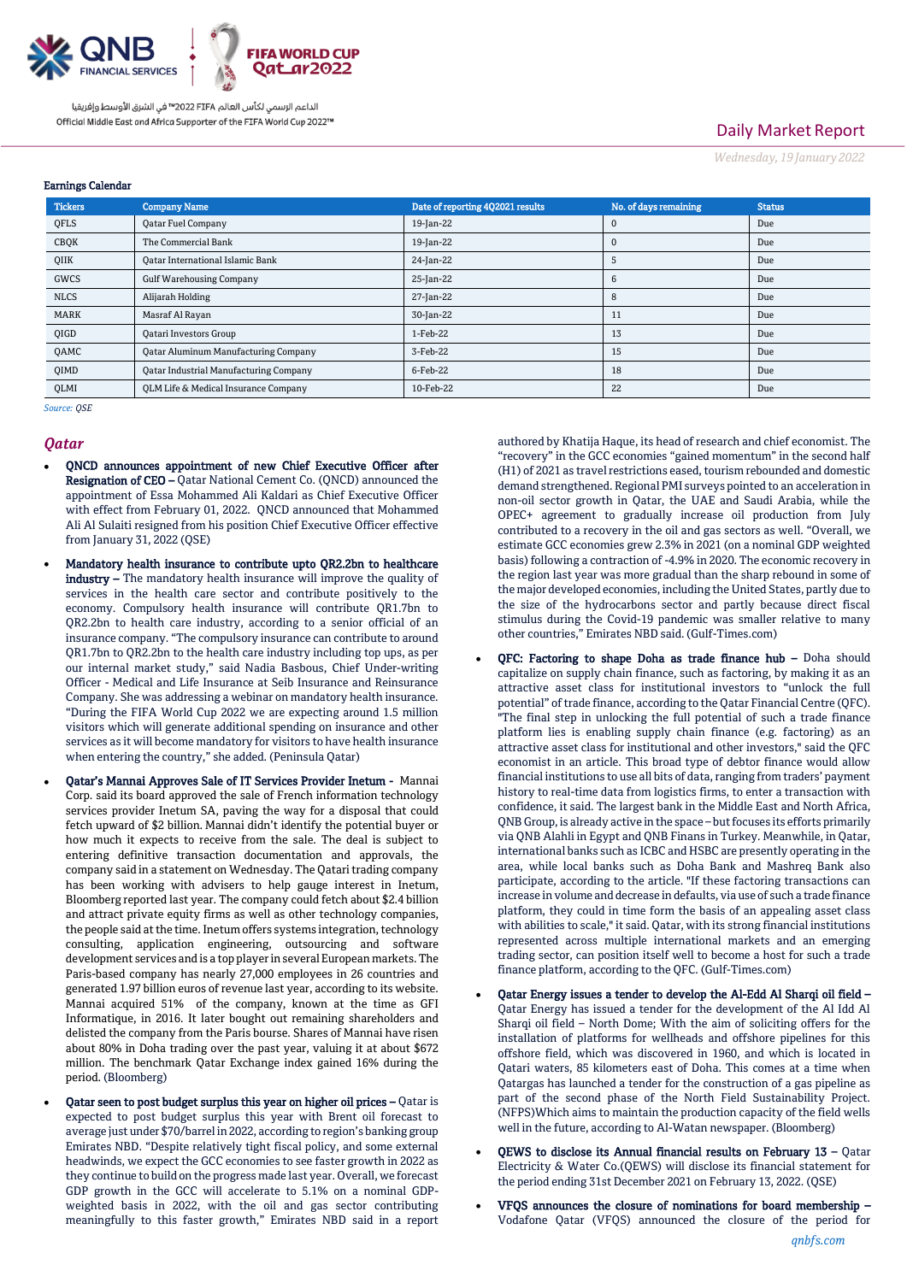

# Daily Market Report

*Wednesday, 19 January2022*

## Earnings Calendar

| <b>Tickers</b> | <b>Company Name</b>                           | Date of reporting 402021 results | No. of days remaining | <b>Status</b> |
|----------------|-----------------------------------------------|----------------------------------|-----------------------|---------------|
| QFLS           | <b>Qatar Fuel Company</b>                     | 19-Jan-22                        | 0                     | Due           |
| CBQK           | The Commercial Bank                           | 19-Jan-22                        | $\Omega$              | Due           |
| QIIK           | <b>Qatar International Islamic Bank</b>       | 24-Jan-22                        | 5                     | Due           |
| GWCS           | <b>Gulf Warehousing Company</b>               | 25-Jan-22                        | 6                     | Due           |
| <b>NLCS</b>    | Alijarah Holding                              | 27-Jan-22                        | 8                     | Due           |
| <b>MARK</b>    | Masraf Al Rayan                               | 30-Jan-22                        | 11                    | Due           |
| QIGD           | <b>Qatari Investors Group</b>                 | 1-Feb-22                         | 13                    | Due           |
| <b>QAMC</b>    | <b>Qatar Aluminum Manufacturing Company</b>   | 3-Feb-22                         | 15                    | Due           |
| <b>QIMD</b>    | <b>Qatar Industrial Manufacturing Company</b> | 6-Feb-22                         | 18                    | Due           |
| OLMI           | OLM Life & Medical Insurance Company          | 10-Feb-22                        | 22                    | Due           |

*Source: QSE*

## *Qatar*

- QNCD announces appointment of new Chief Executive Officer after Resignation of CEO – Qatar National Cement Co. (QNCD) announced the appointment of Essa Mohammed Ali Kaldari as Chief Executive Officer with effect from February 01, 2022. QNCD announced that Mohammed Ali Al Sulaiti resigned from his position Chief Executive Officer effective from January 31, 2022 (QSE)
- Mandatory health insurance to contribute upto QR2.2bn to healthcare industry - The mandatory health insurance will improve the quality of services in the health care sector and contribute positively to the economy. Compulsory health insurance will contribute QR1.7bn to QR2.2bn to health care industry, according to a senior official of an insurance company. "The compulsory insurance can contribute to around QR1.7bn to QR2.2bn to the health care industry including top ups, as per our internal market study," said Nadia Basbous, Chief Under-writing Officer - Medical and Life Insurance at Seib Insurance and Reinsurance Company. She was addressing a webinar on mandatory health insurance. "During the FIFA World Cup 2022 we are expecting around 1.5 million visitors which will generate additional spending on insurance and other services as it will become mandatory for visitors to have health insurance when entering the country," she added. (Peninsula Qatar)
- Qatar's Mannai Approves Sale of IT Services Provider Inetum Mannai Corp. said its board approved the sale of French information technology services provider Inetum SA, paving the way for a disposal that could fetch upward of \$2 billion. Mannai didn't identify the potential buyer or how much it expects to receive from the sale. The deal is subject to entering definitive transaction documentation and approvals, the company said in a statement on Wednesday. The Qatari trading company has been working with advisers to help gauge interest in Inetum, Bloomberg reported last year. The company could fetch about \$2.4 billion and attract private equity firms as well as other technology companies, the people said at the time. Inetum offers systems integration, technology consulting, application engineering, outsourcing and software development services and is a top player in several European markets. The Paris-based company has nearly 27,000 employees in 26 countries and generated 1.97 billion euros of revenue last year, according to its website. Mannai acquired 51% of the company, known at the time as GFI Informatique, in 2016. It later bought out remaining shareholders and delisted the company from the Paris bourse. Shares of Mannai have risen about 80% in Doha trading over the past year, valuing it at about \$672 million. The benchmark Qatar Exchange index gained 16% during the period. (Bloomberg)
- Qatar seen to post budget surplus this year on higher oil prices Qatar is expected to post budget surplus this year with Brent oil forecast to average just under \$70/barrel in 2022, according to region's banking group Emirates NBD. "Despite relatively tight fiscal policy, and some external headwinds, we expect the GCC economies to see faster growth in 2022 as they continue to build on the progress made last year. Overall, we forecast GDP growth in the GCC will accelerate to 5.1% on a nominal GDPweighted basis in 2022, with the oil and gas sector contributing meaningfully to this faster growth," Emirates NBD said in a report

authored by Khatija Haque, its head of research and chief economist. The "recovery" in the GCC economies "gained momentum" in the second half (H1) of 2021 as travel restrictions eased, tourism rebounded and domestic demand strengthened. Regional PMI surveys pointed to an acceleration in non-oil sector growth in Qatar, the UAE and Saudi Arabia, while the OPEC+ agreement to gradually increase oil production from July contributed to a recovery in the oil and gas sectors as well. "Overall, we estimate GCC economies grew 2.3% in 2021 (on a nominal GDP weighted basis) following a contraction of -4.9% in 2020. The economic recovery in the region last year was more gradual than the sharp rebound in some of the major developed economies, including the United States, partly due to the size of the hydrocarbons sector and partly because direct fiscal stimulus during the Covid-19 pandemic was smaller relative to many other countries," Emirates NBD said. (Gulf-Times.com)

- QFC: Factoring to shape Doha as trade finance hub Doha should capitalize on supply chain finance, such as factoring, by making it as an attractive asset class for institutional investors to "unlock the full potential" of trade finance, according to the Qatar Financial Centre (QFC). "The final step in unlocking the full potential of such a trade finance platform lies is enabling supply chain finance (e.g. factoring) as an attractive asset class for institutional and other investors," said the QFC economist in an article. This broad type of debtor finance would allow financial institutions to use all bits of data, ranging from traders' payment history to real-time data from logistics firms, to enter a transaction with confidence, it said. The largest bank in the Middle East and North Africa, QNB Group, is already active in the space – but focuses its efforts primarily via QNB Alahli in Egypt and QNB Finans in Turkey. Meanwhile, in Qatar, international banks such as ICBC and HSBC are presently operating in the area, while local banks such as Doha Bank and Mashreq Bank also participate, according to the article. "If these factoring transactions can increase in volume and decrease in defaults, via use of such a trade finance platform, they could in time form the basis of an appealing asset class with abilities to scale," it said. Qatar, with its strong financial institutions represented across multiple international markets and an emerging trading sector, can position itself well to become a host for such a trade finance platform, according to the QFC. (Gulf-Times.com)
- Qatar Energy issues a tender to develop the Al-Edd Al Sharqi oil field Qatar Energy has issued a tender for the development of the Al Idd Al Sharqi oil field – North Dome; With the aim of soliciting offers for the installation of platforms for wellheads and offshore pipelines for this offshore field, which was discovered in 1960, and which is located in Qatari waters, 85 kilometers east of Doha. This comes at a time when Qatargas has launched a tender for the construction of a gas pipeline as part of the second phase of the North Field Sustainability Project. (NFPS)Which aims to maintain the production capacity of the field wells well in the future, according to Al-Watan newspaper. (Bloomberg)
- QEWS to disclose its Annual financial results on February 13 Qatar Electricity & Water Co.(QEWS) will disclose its financial statement for the period ending 31st December 2021 on February 13, 2022. (QSE)
- VFQS announces the closure of nominations for board membership Vodafone Qatar (VFQS) announced the closure of the period for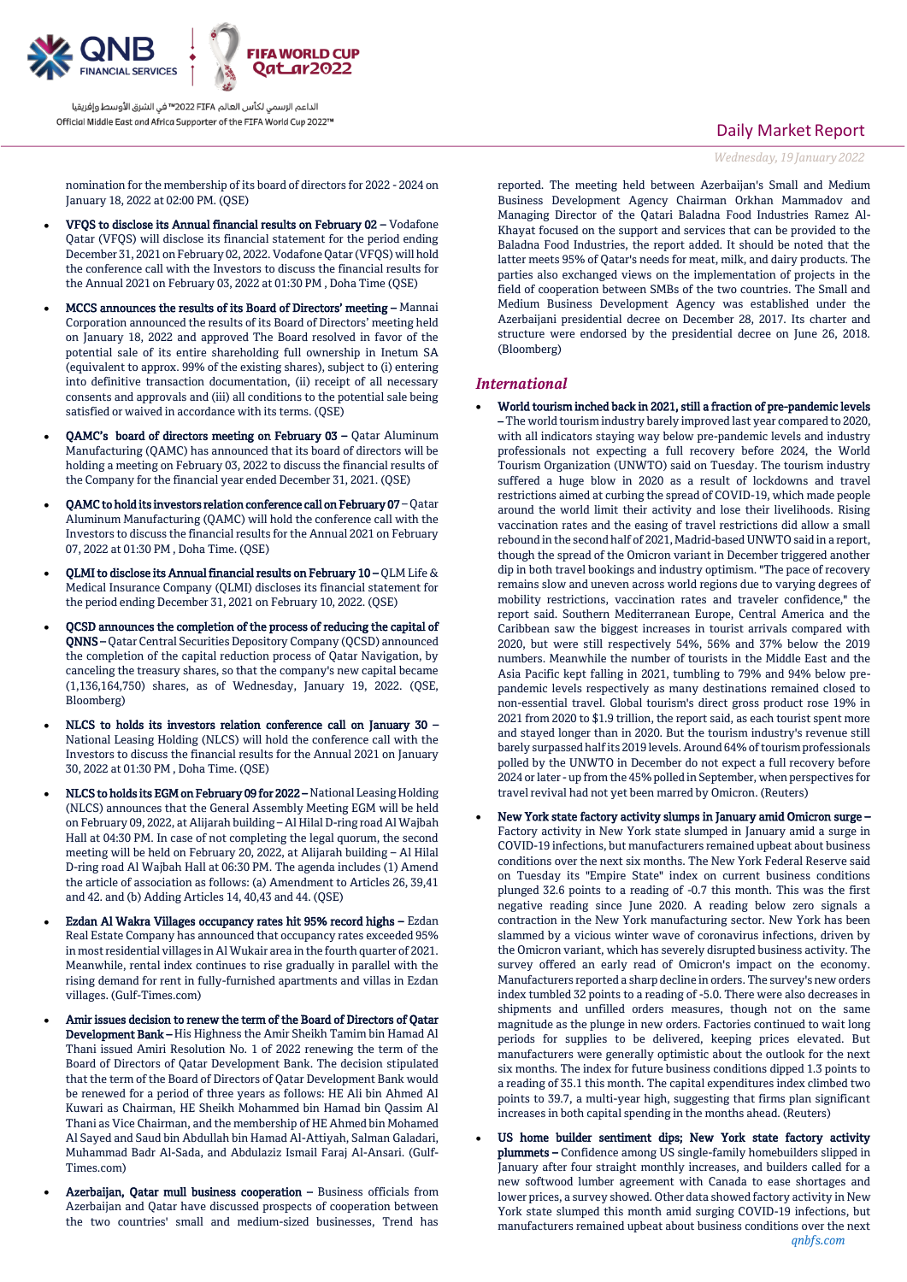

nomination for the membership of its board of directors for 2022 - 2024 on January 18, 2022 at 02:00 PM. (QSE)

- VFQS to disclose its Annual financial results on February 02 Vodafone Qatar (VFQS) will disclose its financial statement for the period ending December 31, 2021 on February 02, 2022. Vodafone Qatar (VFQS) will hold the conference call with the Investors to discuss the financial results for the Annual 2021 on February 03, 2022 at 01:30 PM , Doha Time (QSE)
- MCCS announces the results of its Board of Directors' meeting Mannai Corporation announced the results of its Board of Directors' meeting held on January 18, 2022 and approved The Board resolved in favor of the potential sale of its entire shareholding full ownership in Inetum SA (equivalent to approx. 99% of the existing shares), subject to (i) entering into definitive transaction documentation, (ii) receipt of all necessary consents and approvals and (iii) all conditions to the potential sale being satisfied or waived in accordance with its terms. (QSE)
- QAMC's board of directors meeting on February 03 Qatar Aluminum Manufacturing (QAMC) has announced that its board of directors will be holding a meeting on February 03, 2022 to discuss the financial results of the Company for the financial year ended December 31, 2021. (QSE)
- QAMC to hold its investors relation conference call on February 07 Qatar Aluminum Manufacturing (QAMC) will hold the conference call with the Investors to discuss the financial results for the Annual 2021 on February 07, 2022 at 01:30 PM , Doha Time. (QSE)
- QLMI to disclose its Annual financial results on February 10 QLM Life & Medical Insurance Company (QLMI) discloses its financial statement for the period ending December 31, 2021 on February 10, 2022. (QSE)
- QCSD announces the completion of the process of reducing the capital of QNNS – Qatar Central Securities Depository Company (QCSD) announced the completion of the capital reduction process of Qatar Navigation, by canceling the treasury shares, so that the company's new capital became (1,136,164,750) shares, as of Wednesday, January 19, 2022. (QSE, Bloomberg)
- NLCS to holds its investors relation conference call on January 30 National Leasing Holding (NLCS) will hold the conference call with the Investors to discuss the financial results for the Annual 2021 on January 30, 2022 at 01:30 PM , Doha Time. (QSE)
- NLCS to holds its EGM on February 09 for 2022 National Leasing Holding (NLCS) announces that the General Assembly Meeting EGM will be held on February 09, 2022, at Alijarah building – Al Hilal D-ring road Al Wajbah Hall at 04:30 PM. In case of not completing the legal quorum, the second meeting will be held on February 20, 2022, at Alijarah building – Al Hilal D-ring road Al Wajbah Hall at 06:30 PM. The agenda includes (1) Amend the article of association as follows: (a) Amendment to Articles 26, 39,41 and 42. and (b) Adding Articles 14, 40,43 and 44. (QSE)
- Ezdan Al Wakra Villages occupancy rates hit 95% record highs Ezdan Real Estate Company has announced that occupancy rates exceeded 95% in most residential villages in Al Wukair area in the fourth quarter of 2021. Meanwhile, rental index continues to rise gradually in parallel with the rising demand for rent in fully-furnished apartments and villas in Ezdan villages. (Gulf-Times.com)
- Amir issues decision to renew the term of the Board of Directors of Qatar Development Bank – His Highness the Amir Sheikh Tamim bin Hamad Al Thani issued Amiri Resolution No. 1 of 2022 renewing the term of the Board of Directors of Qatar Development Bank. The decision stipulated that the term of the Board of Directors of Qatar Development Bank would be renewed for a period of three years as follows: HE Ali bin Ahmed Al Kuwari as Chairman, HE Sheikh Mohammed bin Hamad bin Qassim Al Thani as Vice Chairman, and the membership of HE Ahmed bin Mohamed Al Sayed and Saud bin Abdullah bin Hamad Al-Attiyah, Salman Galadari, Muhammad Badr Al-Sada, and Abdulaziz Ismail Faraj Al-Ansari. (Gulf-Times.com)
- Azerbaijan, Qatar mull business cooperation Business officials from Azerbaijan and Qatar have discussed prospects of cooperation between the two countries' small and medium-sized businesses, Trend has

reported. The meeting held between Azerbaijan's Small and Medium Business Development Agency Chairman Orkhan Mammadov and Managing Director of the Qatari Baladna Food Industries Ramez Al-Khayat focused on the support and services that can be provided to the Baladna Food Industries, the report added. It should be noted that the latter meets 95% of Qatar's needs for meat, milk, and dairy products. The parties also exchanged views on the implementation of projects in the field of cooperation between SMBs of the two countries. The Small and Medium Business Development Agency was established under the Azerbaijani presidential decree on December 28, 2017. Its charter and structure were endorsed by the presidential decree on June 26, 2018. (Bloomberg)

## *International*

- World tourism inched back in 2021, still a fraction of pre-pandemic levels – The world tourism industry barely improved last year compared to 2020, with all indicators staying way below pre-pandemic levels and industry professionals not expecting a full recovery before 2024, the World Tourism Organization (UNWTO) said on Tuesday. The tourism industry suffered a huge blow in 2020 as a result of lockdowns and travel restrictions aimed at curbing the spread of COVID-19, which made people around the world limit their activity and lose their livelihoods. Rising vaccination rates and the easing of travel restrictions did allow a small rebound in the second half of 2021, Madrid-based UNWTO said in a report, though the spread of the Omicron variant in December triggered another dip in both travel bookings and industry optimism. "The pace of recovery remains slow and uneven across world regions due to varying degrees of mobility restrictions, vaccination rates and traveler confidence," the report said. Southern Mediterranean Europe, Central America and the Caribbean saw the biggest increases in tourist arrivals compared with 2020, but were still respectively 54%, 56% and 37% below the 2019 numbers. Meanwhile the number of tourists in the Middle East and the Asia Pacific kept falling in 2021, tumbling to 79% and 94% below prepandemic levels respectively as many destinations remained closed to non-essential travel. Global tourism's direct gross product rose 19% in 2021 from 2020 to \$1.9 trillion, the report said, as each tourist spent more and stayed longer than in 2020. But the tourism industry's revenue still barely surpassed half its 2019 levels. Around 64% of tourism professionals polled by the UNWTO in December do not expect a full recovery before 2024 or later - up from the 45% polled in September, when perspectives for travel revival had not yet been marred by Omicron. (Reuters)
- New York state factory activity slumps in January amid Omicron surge Factory activity in New York state slumped in January amid a surge in COVID-19 infections, but manufacturers remained upbeat about business conditions over the next six months. The New York Federal Reserve said on Tuesday its "Empire State" index on current business conditions plunged 32.6 points to a reading of -0.7 this month. This was the first negative reading since June 2020. A reading below zero signals a contraction in the New York manufacturing sector. New York has been slammed by a vicious winter wave of coronavirus infections, driven by the Omicron variant, which has severely disrupted business activity. The survey offered an early read of Omicron's impact on the economy. Manufacturers reported a sharp decline in orders. The survey's new orders index tumbled 32 points to a reading of -5.0. There were also decreases in shipments and unfilled orders measures, though not on the same magnitude as the plunge in new orders. Factories continued to wait long periods for supplies to be delivered, keeping prices elevated. But manufacturers were generally optimistic about the outlook for the next six months. The index for future business conditions dipped 1.3 points to a reading of 35.1 this month. The capital expenditures index climbed two points to 39.7, a multi-year high, suggesting that firms plan significant increases in both capital spending in the months ahead. (Reuters)
- *qnbfs.com* US home builder sentiment dips; New York state factory activity plummets – Confidence among US single-family homebuilders slipped in January after four straight monthly increases, and builders called for a new softwood lumber agreement with Canada to ease shortages and lower prices, a survey showed. Other data showed factory activity in New York state slumped this month amid surging COVID-19 infections, but manufacturers remained upbeat about business conditions over the next

# Daily Market Report *Wednesday, 19 January2022*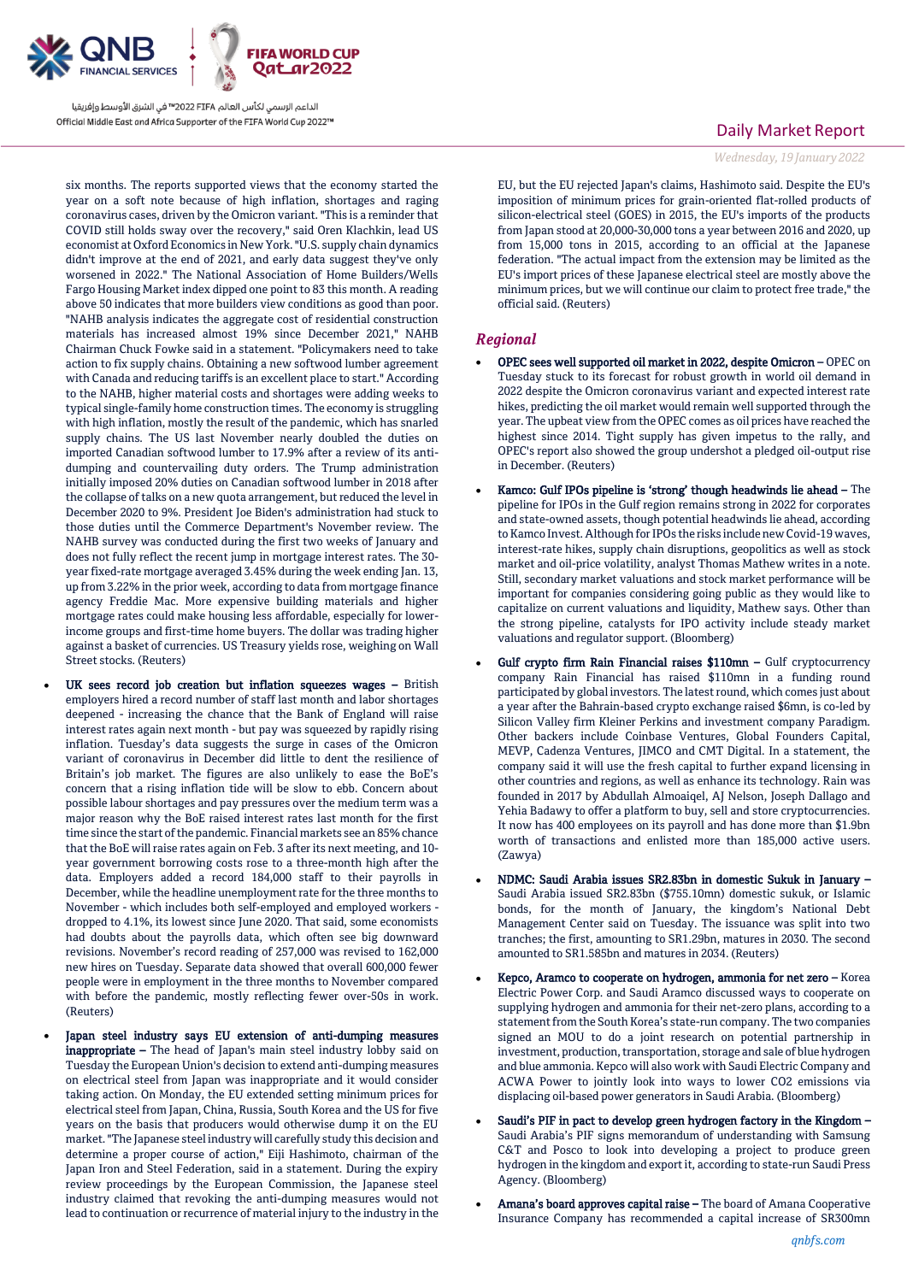

six months. The reports supported views that the economy started the year on a soft note because of high inflation, shortages and raging coronavirus cases, driven by the Omicron variant. "This is a reminder that COVID still holds sway over the recovery," said Oren Klachkin, lead US economist at Oxford Economics in New York. "U.S. supply chain dynamics didn't improve at the end of 2021, and early data suggest they've only worsened in 2022." The National Association of Home Builders/Wells Fargo Housing Market index dipped one point to 83 this month. A reading above 50 indicates that more builders view conditions as good than poor. "NAHB analysis indicates the aggregate cost of residential construction materials has increased almost 19% since December 2021," NAHB Chairman Chuck Fowke said in a statement. "Policymakers need to take action to fix supply chains. Obtaining a new softwood lumber agreement with Canada and reducing tariffs is an excellent place to start." According to the NAHB, higher material costs and shortages were adding weeks to typical single-family home construction times. The economy is struggling with high inflation, mostly the result of the pandemic, which has snarled supply chains. The US last November nearly doubled the duties on imported Canadian softwood lumber to 17.9% after a review of its antidumping and countervailing duty orders. The Trump administration initially imposed 20% duties on Canadian softwood lumber in 2018 after the collapse of talks on a new quota arrangement, but reduced the level in December 2020 to 9%. President Joe Biden's administration had stuck to those duties until the Commerce Department's November review. The NAHB survey was conducted during the first two weeks of January and does not fully reflect the recent jump in mortgage interest rates. The 30 year fixed-rate mortgage averaged 3.45% during the week ending Jan. 13, up from 3.22% in the prior week, according to data from mortgage finance agency Freddie Mac. More expensive building materials and higher mortgage rates could make housing less affordable, especially for lowerincome groups and first-time home buyers. The dollar was trading higher against a basket of currencies. US Treasury yields rose, weighing on Wall Street stocks. (Reuters)

- UK sees record job creation but inflation squeezes wages British employers hired a record number of staff last month and labor shortages deepened - increasing the chance that the Bank of England will raise interest rates again next month - but pay was squeezed by rapidly rising inflation. Tuesday's data suggests the surge in cases of the Omicron variant of coronavirus in December did little to dent the resilience of Britain's job market. The figures are also unlikely to ease the BoE's concern that a rising inflation tide will be slow to ebb. Concern about possible labour shortages and pay pressures over the medium term was a major reason why the BoE raised interest rates last month for the first time since the start of the pandemic. Financial markets see an 85% chance that the BoE will raise rates again on Feb. 3 after its next meeting, and 10 year government borrowing costs rose to a three-month high after the data. Employers added a record 184,000 staff to their payrolls in December, while the headline unemployment rate for the three months to November - which includes both self-employed and employed workers dropped to 4.1%, its lowest since June 2020. That said, some economists had doubts about the payrolls data, which often see big downward revisions. November's record reading of 257,000 was revised to 162,000 new hires on Tuesday. Separate data showed that overall 600,000 fewer people were in employment in the three months to November compared with before the pandemic, mostly reflecting fewer over-50s in work. (Reuters)
- Japan steel industry says EU extension of anti-dumping measures inappropriate - The head of Japan's main steel industry lobby said on Tuesday the European Union's decision to extend anti-dumping measures on electrical steel from Japan was inappropriate and it would consider taking action. On Monday, the EU extended setting minimum prices for electrical steel from Japan, China, Russia, South Korea and the US for five years on the basis that producers would otherwise dump it on the EU market. "The Japanese steel industry will carefully study this decision and determine a proper course of action," Eiji Hashimoto, chairman of the Japan Iron and Steel Federation, said in a statement. During the expiry review proceedings by the European Commission, the Japanese steel industry claimed that revoking the anti-dumping measures would not lead to continuation or recurrence of material injury to the industry in the

## Daily Market Report

## *Wednesday, 19 January2022*

EU, but the EU rejected Japan's claims, Hashimoto said. Despite the EU's imposition of minimum prices for grain-oriented flat-rolled products of silicon-electrical steel (GOES) in 2015, the EU's imports of the products from Japan stood at 20,000-30,000 tons a year between 2016 and 2020, up from 15,000 tons in 2015, according to an official at the Japanese federation. "The actual impact from the extension may be limited as the EU's import prices of these Japanese electrical steel are mostly above the minimum prices, but we will continue our claim to protect free trade," the official said. (Reuters)

## *Regional*

- OPEC sees well supported oil market in 2022, despite Omicron OPEC on Tuesday stuck to its forecast for robust growth in world oil demand in 2022 despite the Omicron coronavirus variant and expected interest rate hikes, predicting the oil market would remain well supported through the year. The upbeat view from the OPEC comes as oil prices have reached the highest since 2014. Tight supply has given impetus to the rally, and OPEC's report also showed the group undershot a pledged oil-output rise in December. (Reuters)
- Kamco: Gulf IPOs pipeline is 'strong' though headwinds lie ahead The pipeline for IPOs in the Gulf region remains strong in 2022 for corporates and state-owned assets, though potential headwinds lie ahead, according to Kamco Invest. Although for IPOs the risks include new Covid-19 waves, interest-rate hikes, supply chain disruptions, geopolitics as well as stock market and oil-price volatility, analyst Thomas Mathew writes in a note. Still, secondary market valuations and stock market performance will be important for companies considering going public as they would like to capitalize on current valuations and liquidity, Mathew says. Other than the strong pipeline, catalysts for IPO activity include steady market valuations and regulator support. (Bloomberg)
- Gulf crypto firm Rain Financial raises \$110mn Gulf cryptocurrency company Rain Financial has raised \$110mn in a funding round participated by global investors. The latest round, which comes just about a year after the Bahrain-based crypto exchange raised \$6mn, is co-led by Silicon Valley firm Kleiner Perkins and investment company Paradigm. Other backers include Coinbase Ventures, Global Founders Capital, MEVP, Cadenza Ventures, JIMCO and CMT Digital. In a statement, the company said it will use the fresh capital to further expand licensing in other countries and regions, as well as enhance its technology. Rain was founded in 2017 by Abdullah Almoaiqel, AJ Nelson, Joseph Dallago and Yehia Badawy to offer a platform to buy, sell and store cryptocurrencies. It now has 400 employees on its payroll and has done more than \$1.9bn worth of transactions and enlisted more than 185,000 active users. (Zawya)
- NDMC: Saudi Arabia issues SR2.83bn in domestic Sukuk in January Saudi Arabia issued SR2.83bn (\$755.10mn) domestic sukuk, or Islamic bonds, for the month of January, the kingdom's National Debt Management Center said on Tuesday. The issuance was split into two tranches; the first, amounting to SR1.29bn, matures in 2030. The second amounted to SR1.585bn and matures in 2034. (Reuters)
- Kepco, Aramco to cooperate on hydrogen, ammonia for net zero Korea Electric Power Corp. and Saudi Aramco discussed ways to cooperate on supplying hydrogen and ammonia for their net-zero plans, according to a statement from the South Korea's state-run company. The two companies signed an MOU to do a joint research on potential partnership in investment, production, transportation, storage and sale of blue hydrogen and blue ammonia. Kepco will also work with Saudi Electric Company and ACWA Power to jointly look into ways to lower CO2 emissions via displacing oil-based power generators in Saudi Arabia. (Bloomberg)
- Saudi's PIF in pact to develop green hydrogen factory in the Kingdom Saudi Arabia's PIF signs memorandum of understanding with Samsung C&T and Posco to look into developing a project to produce green hydrogen in the kingdom and export it, according to state-run Saudi Press Agency. (Bloomberg)
- Amana's board approves capital raise The board of Amana Cooperative Insurance Company has recommended a capital increase of SR300mn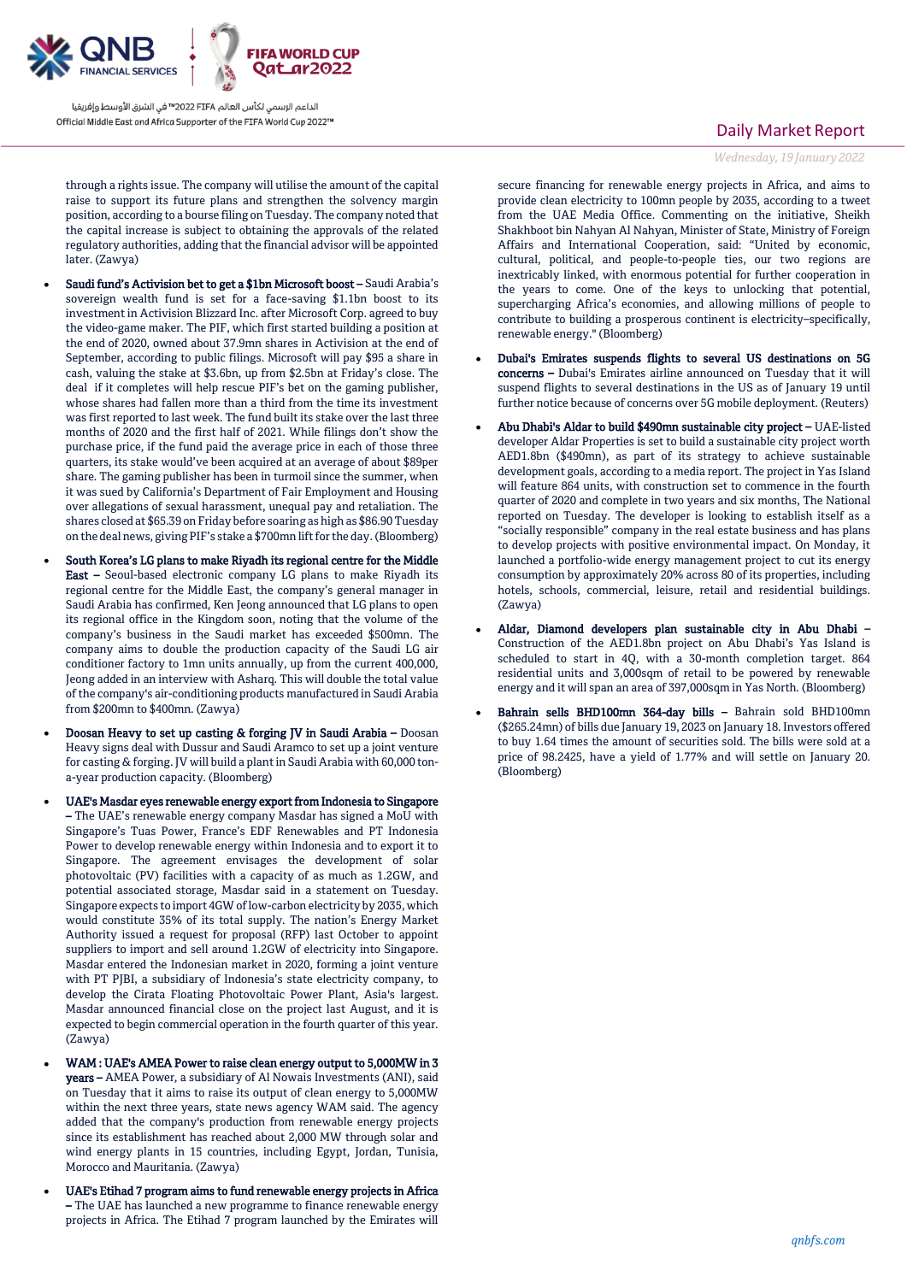

through a rights issue. The company will utilise the amount of the capital raise to support its future plans and strengthen the solvency margin position, according to a bourse filing on Tuesday. The company noted that the capital increase is subject to obtaining the approvals of the related regulatory authorities, adding that the financial advisor will be appointed later. (Zawya)

- Saudi fund's Activision bet to get a \$1bn Microsoft boost Saudi Arabia's sovereign wealth fund is set for a face-saving \$1.1bn boost to its investment in Activision Blizzard Inc. after Microsoft Corp. agreed to buy the video-game maker. The PIF, which first started building a position at the end of 2020, owned about 37.9mn shares in Activision at the end of September, according to public filings. Microsoft will pay \$95 a share in cash, valuing the stake at \$3.6bn, up from \$2.5bn at Friday's close. The deal if it completes will help rescue PIF's bet on the gaming publisher, whose shares had fallen more than a third from the time its investment was first reported to last week. The fund built its stake over the last three months of 2020 and the first half of 2021. While filings don't show the purchase price, if the fund paid the average price in each of those three quarters, its stake would've been acquired at an average of about \$89per share. The gaming publisher has been in turmoil since the summer, when it was sued by California's Department of Fair Employment and Housing over allegations of sexual harassment, unequal pay and retaliation. The shares closed at \$65.39 on Friday before soaring as high as \$86.90 Tuesday on the deal news, giving PIF's stake a \$700mn lift for the day. (Bloomberg)
- South Korea's LG plans to make Riyadh its regional centre for the Middle East – Seoul-based electronic company LG plans to make Riyadh its regional centre for the Middle East, the company's general manager in Saudi Arabia has confirmed, Ken Jeong announced that LG plans to open its regional office in the Kingdom soon, noting that the volume of the company's business in the Saudi market has exceeded \$500mn. The company aims to double the production capacity of the Saudi LG air conditioner factory to 1mn units annually, up from the current 400,000, Jeong added in an interview with Asharq. This will double the total value of the company's air-conditioning products manufactured in Saudi Arabia from \$200mn to \$400mn. (Zawya)
- Doosan Heavy to set up casting & forging JV in Saudi Arabia Doosan Heavy signs deal with Dussur and Saudi Aramco to set up a joint venture for casting & forging. JV will build a plant in Saudi Arabia with 60,000 tona-year production capacity. (Bloomberg)
- UAE's Masdar eyes renewable energy export from Indonesia to Singapore – The UAE's renewable energy company Masdar has signed a MoU with Singapore's Tuas Power, France's EDF Renewables and PT Indonesia Power to develop renewable energy within Indonesia and to export it to Singapore. The agreement envisages the development of solar photovoltaic (PV) facilities with a capacity of as much as 1.2GW, and potential associated storage, Masdar said in a statement on Tuesday. Singapore expects to import 4GW of low-carbon electricity by 2035, which would constitute 35% of its total supply. The nation's Energy Market Authority issued a request for proposal (RFP) last October to appoint suppliers to import and sell around 1.2GW of electricity into Singapore. Masdar entered the Indonesian market in 2020, forming a joint venture with PT PJBI, a subsidiary of Indonesia's state electricity company, to develop the Cirata Floating Photovoltaic Power Plant, Asia's largest. Masdar announced financial close on the project last August, and it is expected to begin commercial operation in the fourth quarter of this year. (Zawya)
- WAM : UAE's AMEA Power to raise clean energy output to 5,000MW in 3 years – AMEA Power, a subsidiary of Al Nowais Investments (ANI), said on Tuesday that it aims to raise its output of clean energy to 5,000MW within the next three years, state news agency WAM said. The agency added that the company's production from renewable energy projects since its establishment has reached about 2,000 MW through solar and wind energy plants in 15 countries, including Egypt, Jordan, Tunisia, Morocco and Mauritania. (Zawya)
- UAE's Etihad 7 program aims to fund renewable energy projects in Africa – The UAE has launched a new programme to finance renewable energy projects in Africa. The Etihad 7 program launched by the Emirates will

## Daily Market Report

*Wednesday, 19 January2022*

secure financing for renewable energy projects in Africa, and aims to provide clean electricity to 100mn people by 2035, according to a tweet from the UAE Media Office. Commenting on the initiative, Sheikh Shakhboot bin Nahyan Al Nahyan, Minister of State, Ministry of Foreign Affairs and International Cooperation, said: "United by economic, cultural, political, and people-to-people ties, our two regions are inextricably linked, with enormous potential for further cooperation in the years to come. One of the keys to unlocking that potential, supercharging Africa's economies, and allowing millions of people to contribute to building a prosperous continent is electricity–specifically, renewable energy." (Bloomberg)

- Dubai's Emirates suspends flights to several US destinations on 5G concerns – Dubai's Emirates airline announced on Tuesday that it will suspend flights to several destinations in the US as of January 19 until further notice because of concerns over 5G mobile deployment. (Reuters)
- Abu Dhabi's Aldar to build \$490mn sustainable city project UAE-listed developer Aldar Properties is set to build a sustainable city project worth AED1.8bn (\$490mn), as part of its strategy to achieve sustainable development goals, according to a media report. The project in Yas Island will feature 864 units, with construction set to commence in the fourth quarter of 2020 and complete in two years and six months, The National reported on Tuesday. The developer is looking to establish itself as a "socially responsible" company in the real estate business and has plans to develop projects with positive environmental impact. On Monday, it launched a portfolio-wide energy management project to cut its energy consumption by approximately 20% across 80 of its properties, including hotels, schools, commercial, leisure, retail and residential buildings. (Zawya)
- Aldar, Diamond developers plan sustainable city in Abu Dhabi Construction of the AED1.8bn project on Abu Dhabi's Yas Island is scheduled to start in 4Q, with a 30-month completion target. 864 residential units and 3,000sqm of retail to be powered by renewable energy and it will span an area of 397,000sqm in Yas North. (Bloomberg)
- Bahrain sells BHD100mn 364-day bills Bahrain sold BHD100mn (\$265.24mn) of bills due January 19, 2023 on January 18. Investors offered to buy 1.64 times the amount of securities sold. The bills were sold at a price of 98.2425, have a yield of 1.77% and will settle on January 20. (Bloomberg)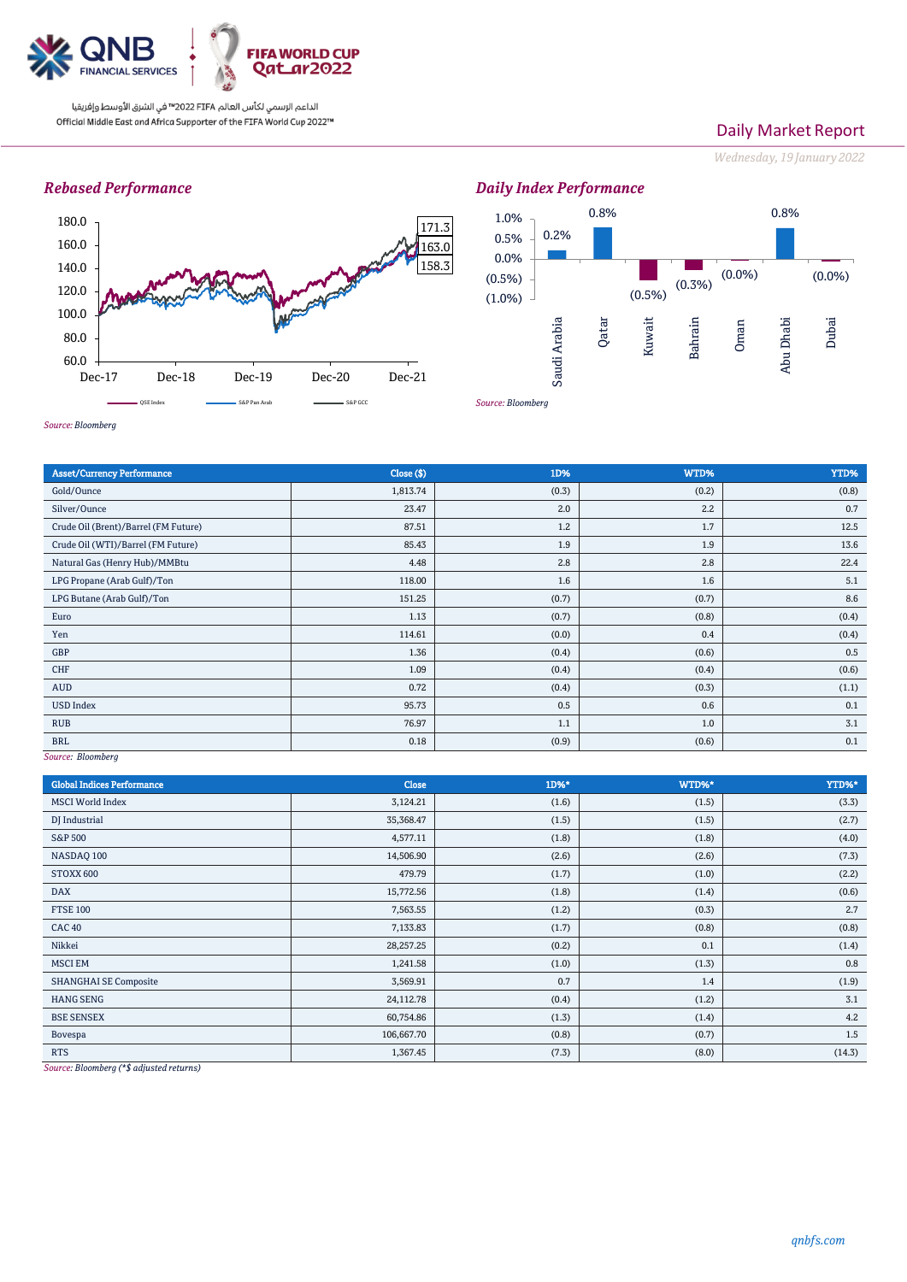

# Daily Market Report

*Wednesday, 19 January2022*

# *Rebased Performance*





*Source: Bloomberg*

| <b>Asset/Currency Performance</b>    | Close (\$) | 1D%   | WTD%  | YTD%  |
|--------------------------------------|------------|-------|-------|-------|
| Gold/Ounce                           | 1,813.74   | (0.3) | (0.2) | (0.8) |
| Silver/Ounce                         | 23.47      | 2.0   | 2.2   | 0.7   |
| Crude Oil (Brent)/Barrel (FM Future) | 87.51      | 1.2   | 1.7   | 12.5  |
| Crude Oil (WTI)/Barrel (FM Future)   | 85.43      | 1.9   | 1.9   | 13.6  |
| Natural Gas (Henry Hub)/MMBtu        | 4.48       | 2.8   | 2.8   | 22.4  |
| LPG Propane (Arab Gulf)/Ton          | 118.00     | 1.6   | 1.6   | 5.1   |
| LPG Butane (Arab Gulf)/Ton           | 151.25     | (0.7) | (0.7) | 8.6   |
| Euro                                 | 1.13       | (0.7) | (0.8) | (0.4) |
| Yen                                  | 114.61     | (0.0) | 0.4   | (0.4) |
| GBP                                  | 1.36       | (0.4) | (0.6) | 0.5   |
| <b>CHF</b>                           | 1.09       | (0.4) | (0.4) | (0.6) |
| <b>AUD</b>                           | 0.72       | (0.4) | (0.3) | (1.1) |
| <b>USD Index</b>                     | 95.73      | 0.5   | 0.6   | 0.1   |
| <b>RUB</b>                           | 76.97      | 1.1   | 1.0   | 3.1   |
| <b>BRL</b>                           | 0.18       | (0.9) | (0.6) | 0.1   |

*Source: Bloomberg*

| <b>Global Indices Performance</b>                                                                                                                                                                                                            | <b>Close</b> | 1D%*  | WTD%* | YTD%*  |
|----------------------------------------------------------------------------------------------------------------------------------------------------------------------------------------------------------------------------------------------|--------------|-------|-------|--------|
| <b>MSCI World Index</b>                                                                                                                                                                                                                      | 3,124.21     | (1.6) | (1.5) | (3.3)  |
| DJ Industrial                                                                                                                                                                                                                                | 35,368.47    | (1.5) | (1.5) | (2.7)  |
| <b>S&amp;P 500</b>                                                                                                                                                                                                                           | 4,577.11     | (1.8) | (1.8) | (4.0)  |
| NASDAQ 100                                                                                                                                                                                                                                   | 14,506.90    | (2.6) | (2.6) | (7.3)  |
| STOXX 600                                                                                                                                                                                                                                    | 479.79       | (1.7) | (1.0) | (2.2)  |
| <b>DAX</b>                                                                                                                                                                                                                                   | 15,772.56    | (1.8) | (1.4) | (0.6)  |
| <b>FTSE 100</b>                                                                                                                                                                                                                              | 7,563.55     | (1.2) | (0.3) | 2.7    |
| <b>CAC 40</b>                                                                                                                                                                                                                                | 7,133.83     | (1.7) | (0.8) | (0.8)  |
| Nikkei                                                                                                                                                                                                                                       | 28,257.25    | (0.2) | 0.1   | (1.4)  |
| <b>MSCI EM</b>                                                                                                                                                                                                                               | 1,241.58     | (1.0) | (1.3) | 0.8    |
| <b>SHANGHAI SE Composite</b>                                                                                                                                                                                                                 | 3,569.91     | 0.7   | 1.4   | (1.9)  |
| <b>HANG SENG</b>                                                                                                                                                                                                                             | 24,112.78    | (0.4) | (1.2) | 3.1    |
| <b>BSE SENSEX</b>                                                                                                                                                                                                                            | 60,754.86    | (1.3) | (1.4) | 4.2    |
| Bovespa                                                                                                                                                                                                                                      | 106,667.70   | (0.8) | (0.7) | 1.5    |
| <b>RTS</b><br>the state of the state of the state of the state of the state of the state of the state of the state of the state of the state of the state of the state of the state of the state of the state of the state of the state of t | 1,367.45     | (7.3) | (8.0) | (14.3) |

*Source: Bloomberg (\*\$ adjusted returns)*